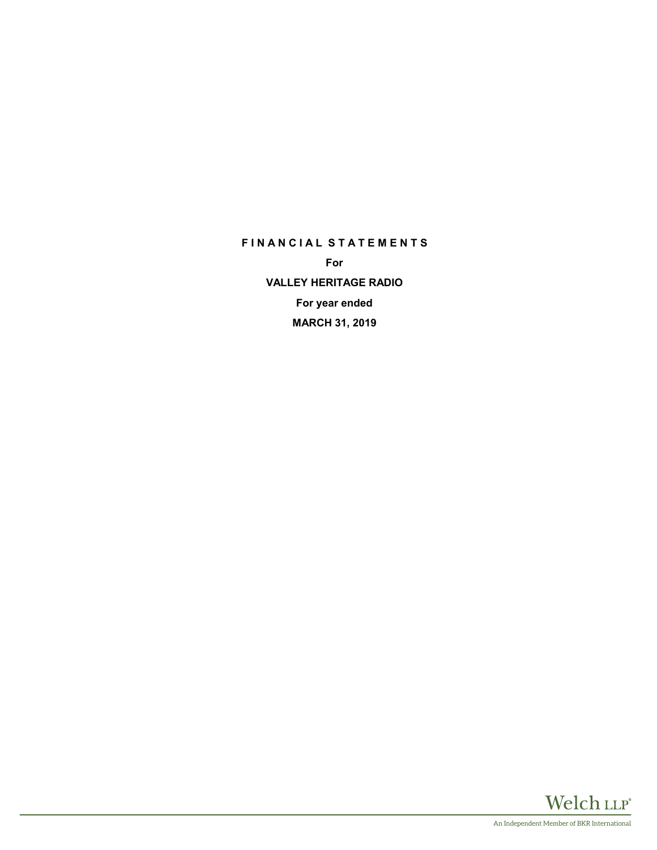# **F I N A N C I A L S T A T E M E N T S**

**For VALLEY HERITAGE RADIO For year ended MARCH 31, 2019**

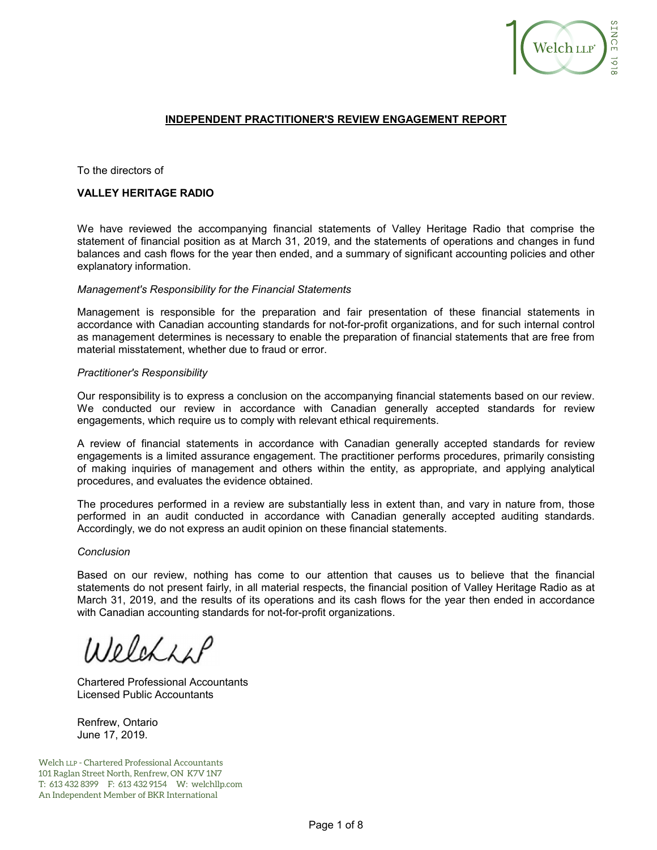

## **INDEPENDENT PRACTITIONER'S REVIEW ENGAGEMENT REPORT**

To the directors of

#### **VALLEY HERITAGE RADIO**

We have reviewed the accompanying financial statements of Valley Heritage Radio that comprise the statement of financial position as at March 31, 2019, and the statements of operations and changes in fund balances and cash flows for the year then ended, and a summary of significant accounting policies and other explanatory information.

#### *Management's Responsibility for the Financial Statements*

Management is responsible for the preparation and fair presentation of these financial statements in accordance with Canadian accounting standards for not-for-profit organizations, and for such internal control as management determines is necessary to enable the preparation of financial statements that are free from material misstatement, whether due to fraud or error.

#### *Practitioner's Responsibility*

Our responsibility is to express a conclusion on the accompanying financial statements based on our review. We conducted our review in accordance with Canadian generally accepted standards for review engagements, which require us to comply with relevant ethical requirements.

A review of financial statements in accordance with Canadian generally accepted standards for review engagements is a limited assurance engagement. The practitioner performs procedures, primarily consisting of making inquiries of management and others within the entity, as appropriate, and applying analytical procedures, and evaluates the evidence obtained.

The procedures performed in a review are substantially less in extent than, and vary in nature from, those performed in an audit conducted in accordance with Canadian generally accepted auditing standards. Accordingly, we do not express an audit opinion on these financial statements.

#### *Conclusion*

Based on our review, nothing has come to our attention that causes us to believe that the financial statements do not present fairly, in all material respects, the financial position of Valley Heritage Radio as at March 31, 2019, and the results of its operations and its cash flows for the year then ended in accordance with Canadian accounting standards for not-for-profit organizations.

Welches

Chartered Professional Accountants Licensed Public Accountants

Renfrew, Ontario June 17, 2019.

Welch LLP - Chartered Professional Accountants 101 Raglan Street North, Renfrew, ON K7V 1N7 T: 613 432 8399 F: 613 432 9154 W: welchllp.com An Independent Member of BKR International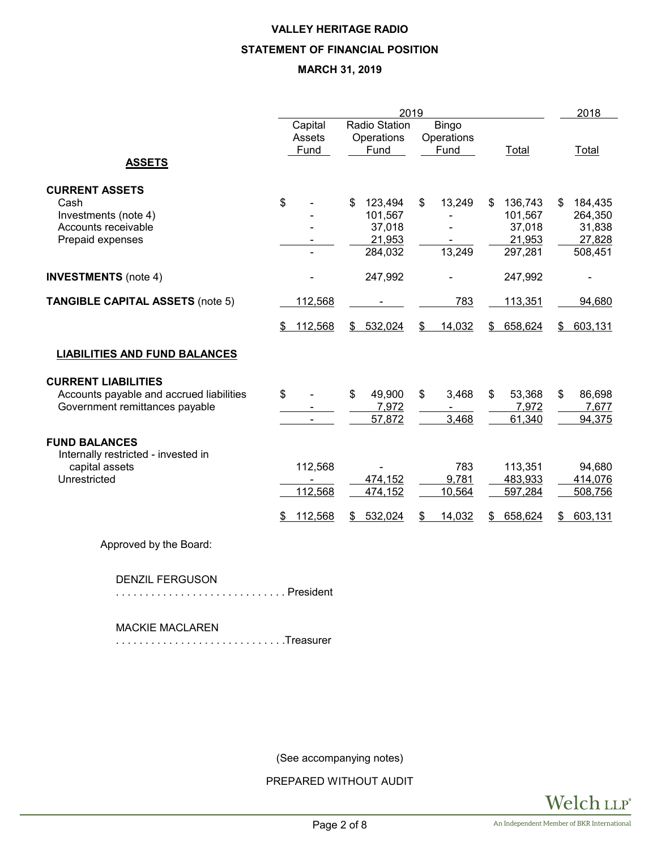# **VALLEY HERITAGE RADIO STATEMENT OF FINANCIAL POSITION MARCH 31, 2019**

|                                                                                                          |                                    | 2019                                                    |                                        |                                                         |                                                         |  |  |
|----------------------------------------------------------------------------------------------------------|------------------------------------|---------------------------------------------------------|----------------------------------------|---------------------------------------------------------|---------------------------------------------------------|--|--|
| <b>ASSETS</b>                                                                                            | Capital<br>Assets<br>Fund          | Radio Station<br>Operations<br>Fund                     | <b>Bingo</b><br>Operations<br>Fund     | Total                                                   | Total                                                   |  |  |
| <b>CURRENT ASSETS</b><br>Cash<br>Investments (note 4)<br>Accounts receivable<br>Prepaid expenses         | \$                                 | 123,494<br>\$<br>101,567<br>37,018<br>21,953<br>284,032 | \$<br>13,249<br>13,249                 | \$<br>136,743<br>101,567<br>37,018<br>21,953<br>297,281 | \$<br>184,435<br>264,350<br>31,838<br>27,828<br>508,451 |  |  |
| <b>INVESTMENTS</b> (note 4)                                                                              |                                    | 247,992                                                 |                                        | 247,992                                                 |                                                         |  |  |
| <b>TANGIBLE CAPITAL ASSETS (note 5)</b>                                                                  | 112,568<br>112,568<br>\$           | 532,024<br>\$                                           | 783<br>\$<br>14,032                    | 113,351<br>658,624<br>\$                                | 94,680<br>603,131<br>\$                                 |  |  |
| <b>LIABILITIES AND FUND BALANCES</b>                                                                     |                                    |                                                         |                                        |                                                         |                                                         |  |  |
| <b>CURRENT LIABILITIES</b><br>Accounts payable and accrued liabilities<br>Government remittances payable | \$                                 | \$<br>49,900<br>7,972<br>57,872                         | \$<br>3,468<br>3,468                   | \$<br>53,368<br>7,972<br>61,340                         | \$<br>86,698<br>7,677<br>94,375                         |  |  |
| <b>FUND BALANCES</b><br>Internally restricted - invested in<br>capital assets<br>Unrestricted            | 112,568<br>112,568<br>112,568<br>S | 474,152<br>474,152<br>532,024<br>S.                     | 783<br>9,781<br>10,564<br>14,032<br>\$ | 113,351<br>483,933<br>597,284<br>658,624<br>\$          | 94,680<br>414,076<br>508,756<br>603,131<br>S            |  |  |
|                                                                                                          |                                    |                                                         |                                        |                                                         |                                                         |  |  |

Approved by the Board:

DENZIL FERGUSON

. . . . . . . . . . . . . . . . . . . . . . . . . . . . . President

MACKIE MACLAREN

. . . . . . . . . . . . . . . . . . . . . . . . . . . . .Treasurer

(See accompanying notes)

PREPARED WITHOUT AUDIT

Welch LLP®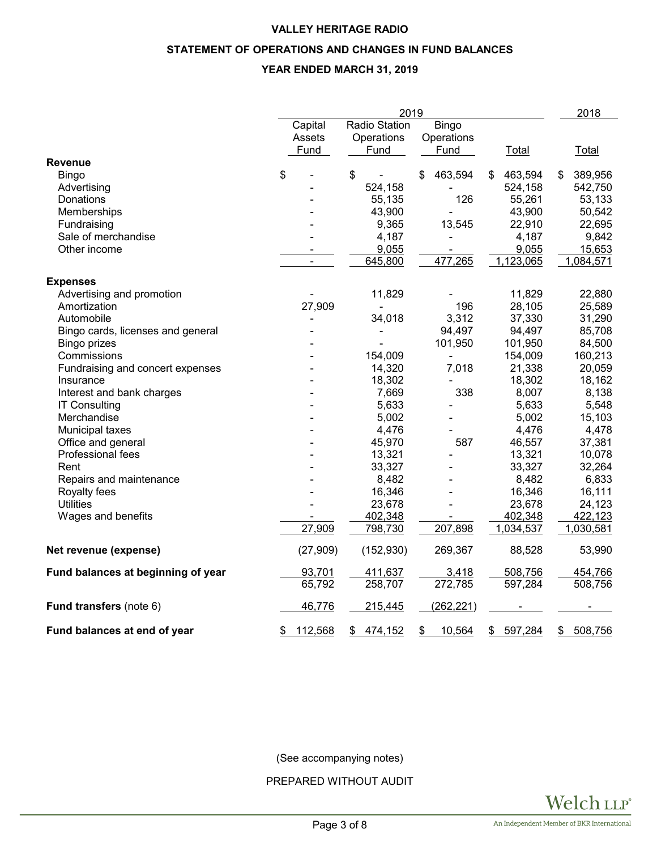# **VALLEY HERITAGE RADIO**

# **STATEMENT OF OPERATIONS AND CHANGES IN FUND BALANCES**

# **YEAR ENDED MARCH 31, 2019**

|                                                          |               | 2018                         |                              |               |               |
|----------------------------------------------------------|---------------|------------------------------|------------------------------|---------------|---------------|
|                                                          | Capital       | <b>Radio Station</b>         | Bingo                        |               |               |
|                                                          | Assets        | Operations                   | Operations                   |               |               |
|                                                          | Fund          | Fund                         | Fund                         | Total         | Total         |
| <b>Revenue</b>                                           |               |                              |                              |               |               |
| Bingo                                                    | \$            | \$                           | 463,594<br>\$                | 463,594<br>\$ | 389,956<br>\$ |
| Advertising                                              |               | 524,158                      |                              | 524,158       | 542,750       |
| Donations                                                |               | 55,135                       | 126                          | 55,261        | 53,133        |
| Memberships                                              |               | 43,900                       |                              | 43,900        | 50,542        |
| Fundraising                                              |               | 9,365                        | 13,545                       | 22,910        | 22,695        |
| Sale of merchandise                                      |               | 4,187                        | $\qquad \qquad \blacksquare$ | 4,187         | 9,842         |
| Other income                                             |               | 9,055                        |                              | 9,055         | 15,653        |
|                                                          |               | 645,800                      | 477,265                      | 1,123,065     | 1,084,571     |
| <b>Expenses</b>                                          |               |                              |                              |               |               |
| Advertising and promotion                                |               | 11,829                       |                              | 11,829        | 22,880        |
| Amortization                                             | 27,909        | $\qquad \qquad \blacksquare$ | 196                          | 28,105        | 25,589        |
| Automobile                                               |               | 34,018                       | 3,312                        | 37,330        | 31,290        |
|                                                          |               |                              | 94,497                       | 94,497        | 85,708        |
| Bingo cards, licenses and general<br><b>Bingo prizes</b> |               |                              | 101,950                      | 101,950       | 84,500        |
| Commissions                                              |               | 154,009                      |                              | 154,009       | 160,213       |
|                                                          |               |                              |                              |               |               |
| Fundraising and concert expenses                         |               | 14,320                       | 7,018                        | 21,338        | 20,059        |
| Insurance                                                |               | 18,302                       |                              | 18,302        | 18,162        |
| Interest and bank charges                                |               | 7,669                        | 338                          | 8,007         | 8,138         |
| <b>IT Consulting</b>                                     |               | 5,633                        |                              | 5,633         | 5,548         |
| Merchandise                                              |               | 5,002                        |                              | 5,002         | 15,103        |
| Municipal taxes                                          |               | 4,476                        |                              | 4,476         | 4,478         |
| Office and general                                       |               | 45,970                       | 587                          | 46,557        | 37,381        |
| Professional fees                                        |               | 13,321                       |                              | 13,321        | 10,078        |
| Rent                                                     |               | 33,327                       |                              | 33,327        | 32,264        |
| Repairs and maintenance                                  |               | 8,482                        |                              | 8,482         | 6,833         |
| Royalty fees                                             |               | 16,346                       |                              | 16,346        | 16,111        |
| <b>Utilities</b>                                         |               | 23,678                       |                              | 23,678        | 24,123        |
| Wages and benefits                                       |               | 402,348                      |                              | 402,348       | 422,123       |
|                                                          | 27,909        | 798,730                      | 207,898                      | 1,034,537     | 1,030,581     |
| Net revenue (expense)                                    | (27, 909)     | (152, 930)                   | 269,367                      | 88,528        | 53,990        |
| Fund balances at beginning of year                       | 93,701        | 411,637                      | 3,418                        | 508,756       | 454,766       |
|                                                          | 65,792        | 258,707                      | 272,785                      | 597,284       | 508,756       |
| Fund transfers (note 6)                                  | 46,776        | 215,445                      | (262, 221)                   |               |               |
| Fund balances at end of year                             | 112,568<br>\$ | 474,152<br>\$                | \$<br>10,564                 | 597,284<br>\$ | 508,756<br>\$ |

(See accompanying notes)

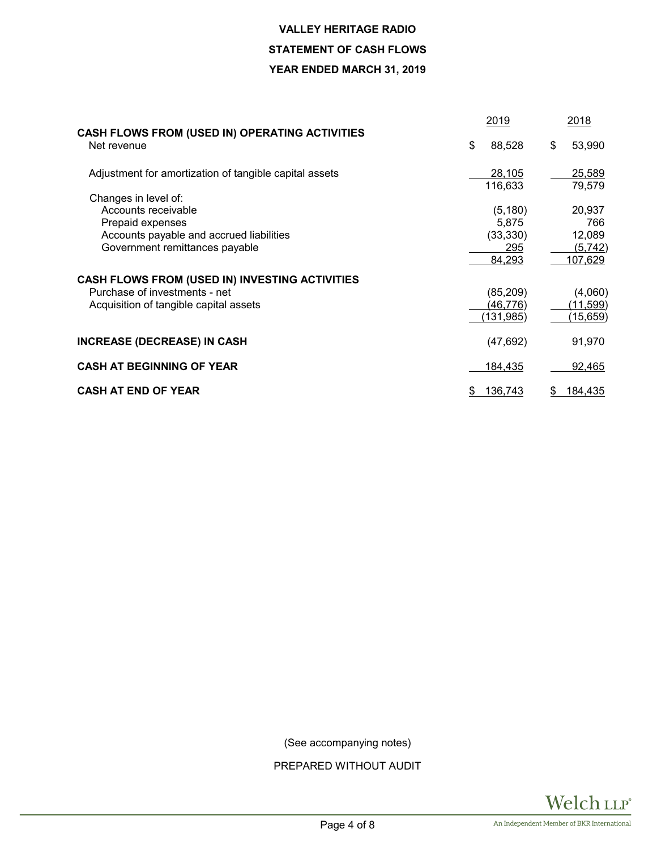# **VALLEY HERITAGE RADIO**

# **STATEMENT OF CASH FLOWS**

# **YEAR ENDED MARCH 31, 2019**

|                                                                                                                                               | 2019                                            | 2018                                          |  |
|-----------------------------------------------------------------------------------------------------------------------------------------------|-------------------------------------------------|-----------------------------------------------|--|
| <b>CASH FLOWS FROM (USED IN) OPERATING ACTIVITIES</b><br>Net revenue                                                                          | \$<br>88,528                                    | 53,990<br>\$                                  |  |
| Adjustment for amortization of tangible capital assets                                                                                        | 28,105<br>116,633                               | 25,589<br>79,579                              |  |
| Changes in level of:<br>Accounts receivable<br>Prepaid expenses<br>Accounts payable and accrued liabilities<br>Government remittances payable | (5, 180)<br>5,875<br>(33, 330)<br>295<br>84,293 | 20,937<br>766<br>12,089<br>(5,742)<br>107,629 |  |
| <b>CASH FLOWS FROM (USED IN) INVESTING ACTIVITIES</b><br>Purchase of investments - net<br>Acquisition of tangible capital assets              | (85, 209)<br>(46, 776)<br>(131,985)             | (4,060)<br>(11,599)<br>(15, 659)              |  |
| <b>INCREASE (DECREASE) IN CASH</b>                                                                                                            | (47, 692)                                       | 91,970                                        |  |
| <b>CASH AT BEGINNING OF YEAR</b>                                                                                                              | 184,435                                         | 92,465                                        |  |
| <b>CASH AT END OF YEAR</b>                                                                                                                    | 136,743                                         | 184,435<br>S.                                 |  |

(See accompanying notes)

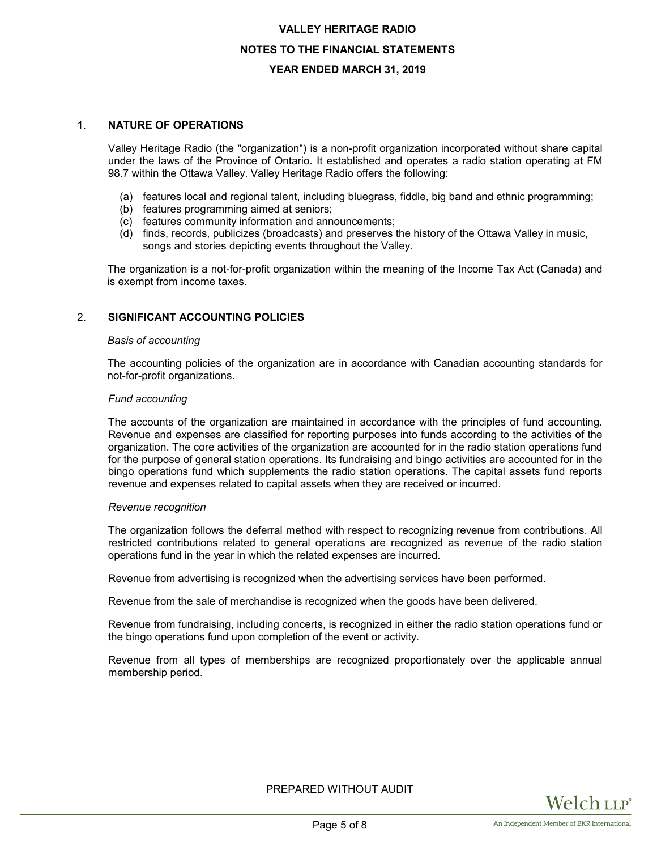# **VALLEY HERITAGE RADIO NOTES TO THE FINANCIAL STATEMENTS YEAR ENDED MARCH 31, 2019**

# 1. **NATURE OF OPERATIONS**

Valley Heritage Radio (the "organization") is a non-profit organization incorporated without share capital under the laws of the Province of Ontario. It established and operates a radio station operating at FM 98.7 within the Ottawa Valley. Valley Heritage Radio offers the following:

- (a) features local and regional talent, including bluegrass, fiddle, big band and ethnic programming;
- (b) features programming aimed at seniors;
- (c) features community information and announcements;
- (d) finds, records, publicizes (broadcasts) and preserves the history of the Ottawa Valley in music, songs and stories depicting events throughout the Valley.

The organization is a not-for-profit organization within the meaning of the Income Tax Act (Canada) and is exempt from income taxes.

# 2. **SIGNIFICANT ACCOUNTING POLICIES**

## *Basis of accounting*

The accounting policies of the organization are in accordance with Canadian accounting standards for not-for-profit organizations.

## *Fund accounting*

The accounts of the organization are maintained in accordance with the principles of fund accounting. Revenue and expenses are classified for reporting purposes into funds according to the activities of the organization. The core activities of the organization are accounted for in the radio station operations fund for the purpose of general station operations. Its fundraising and bingo activities are accounted for in the bingo operations fund which supplements the radio station operations. The capital assets fund reports revenue and expenses related to capital assets when they are received or incurred.

## *Revenue recognition*

The organization follows the deferral method with respect to recognizing revenue from contributions. All restricted contributions related to general operations are recognized as revenue of the radio station operations fund in the year in which the related expenses are incurred.

Revenue from advertising is recognized when the advertising services have been performed.

Revenue from the sale of merchandise is recognized when the goods have been delivered.

Revenue from fundraising, including concerts, is recognized in either the radio station operations fund or the bingo operations fund upon completion of the event or activity.

Revenue from all types of memberships are recognized proportionately over the applicable annual membership period.

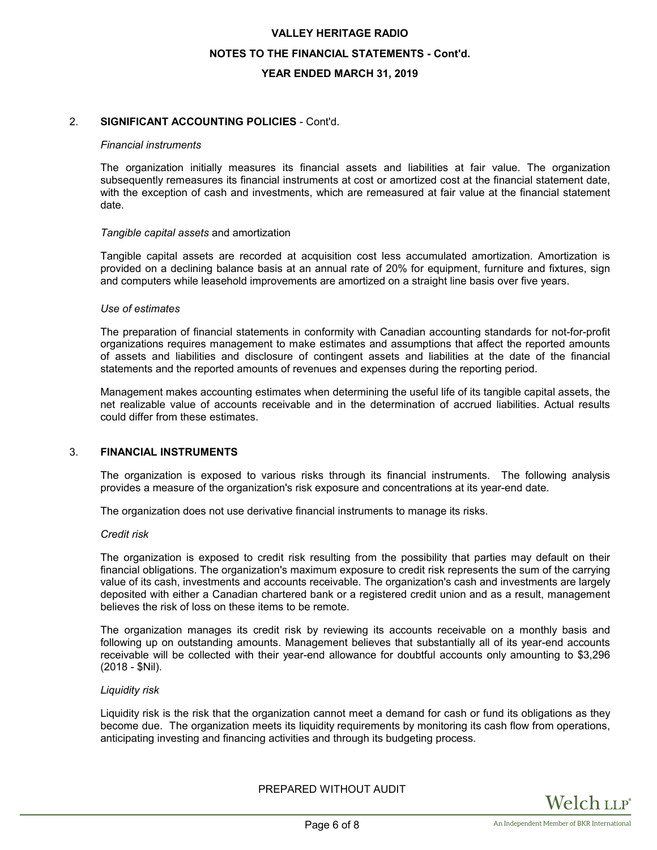# **VALLEY HERITAGE RADIO NOTES TO THE FINANCIAL STATEMENTS - Cont'd. YEAR ENDED MARCH 31, 2019**

# 2. **SIGNIFICANT ACCOUNTING POLICIES** - Cont'd.

#### *Financial instruments*

The organization initially measures its financial assets and liabilities at fair value. The organization subsequently remeasures its financial instruments at cost or amortized cost at the financial statement date, with the exception of cash and investments, which are remeasured at fair value at the financial statement date.

#### *Tangible capital assets* and amortization

Tangible capital assets are recorded at acquisition cost less accumulated amortization. Amortization is provided on a declining balance basis at an annual rate of 20% for equipment, furniture and fixtures, sign and computers while leasehold improvements are amortized on a straight line basis over five years.

#### *Use of estimates*

The preparation of financial statements in conformity with Canadian accounting standards for not-for-profit organizations requires management to make estimates and assumptions that affect the reported amounts of assets and liabilities and disclosure of contingent assets and liabilities at the date of the financial statements and the reported amounts of revenues and expenses during the reporting period.

Management makes accounting estimates when determining the useful life of its tangible capital assets, the net realizable value of accounts receivable and in the determination of accrued liabilities. Actual results could differ from these estimates.

## 3. **FINANCIAL INSTRUMENTS**

The organization is exposed to various risks through its financial instruments. The following analysis provides a measure of the organization's risk exposure and concentrations at its year-end date.

The organization does not use derivative financial instruments to manage its risks.

#### *Credit risk*

The organization is exposed to credit risk resulting from the possibility that parties may default on their financial obligations. The organization's maximum exposure to credit risk represents the sum of the carrying value of its cash, investments and accounts receivable. The organization's cash and investments are largely deposited with either a Canadian chartered bank or a registered credit union and as a result, management believes the risk of loss on these items to be remote.

The organization manages its credit risk by reviewing its accounts receivable on a monthly basis and following up on outstanding amounts. Management believes that substantially all of its year-end accounts receivable will be collected with their year-end allowance for doubtful accounts only amounting to \$3,296 (2018 - \$Nil).

#### *Liquidity risk*

Liquidity risk is the risk that the organization cannot meet a demand for cash or fund its obligations as they become due. The organization meets its liquidity requirements by monitoring its cash flow from operations, anticipating investing and financing activities and through its budgeting process.

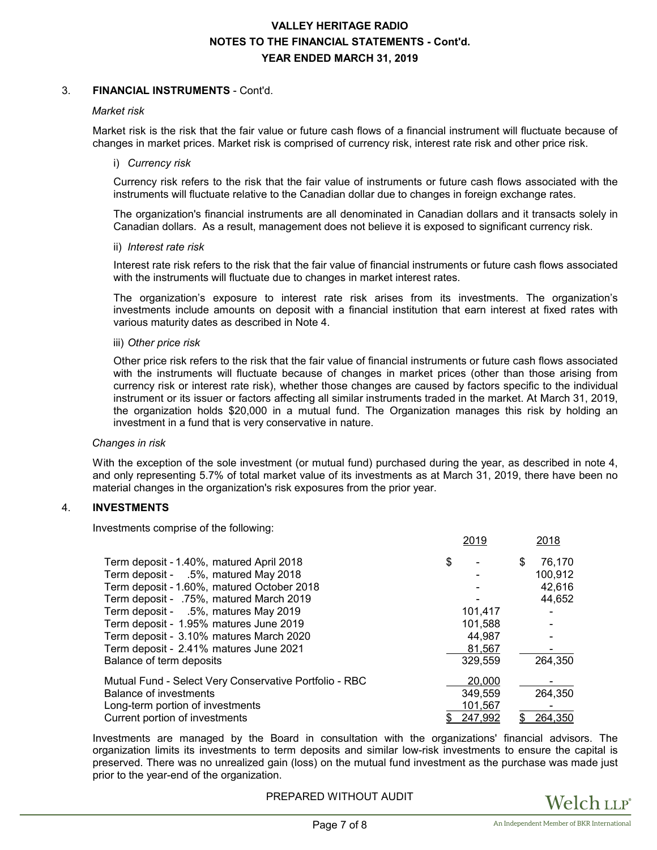# **VALLEY HERITAGE RADIO NOTES TO THE FINANCIAL STATEMENTS - Cont'd. YEAR ENDED MARCH 31, 2019**

## 3. **FINANCIAL INSTRUMENTS** - Cont'd.

#### *Market risk*

Market risk is the risk that the fair value or future cash flows of a financial instrument will fluctuate because of changes in market prices. Market risk is comprised of currency risk, interest rate risk and other price risk.

#### i) *Currency risk*

Currency risk refers to the risk that the fair value of instruments or future cash flows associated with the instruments will fluctuate relative to the Canadian dollar due to changes in foreign exchange rates.

The organization's financial instruments are all denominated in Canadian dollars and it transacts solely in Canadian dollars. As a result, management does not believe it is exposed to significant currency risk.

#### ii) *Interest rate risk*

Interest rate risk refers to the risk that the fair value of financial instruments or future cash flows associated with the instruments will fluctuate due to changes in market interest rates.

The organization's exposure to interest rate risk arises from its investments. The organization's investments include amounts on deposit with a financial institution that earn interest at fixed rates with various maturity dates as described in Note 4.

## iii) *Other price risk*

Other price risk refers to the risk that the fair value of financial instruments or future cash flows associated with the instruments will fluctuate because of changes in market prices (other than those arising from currency risk or interest rate risk), whether those changes are caused by factors specific to the individual instrument or its issuer or factors affecting all similar instruments traded in the market. At March 31, 2019, the organization holds \$20,000 in a mutual fund. The Organization manages this risk by holding an investment in a fund that is very conservative in nature.

#### *Changes in risk*

With the exception of the sole investment (or mutual fund) purchased during the year, as described in note 4, and only representing 5.7% of total market value of its investments as at March 31, 2019, there have been no material changes in the organization's risk exposures from the prior year.

# 4. **INVESTMENTS**

Investments comprise of the following:

|                                                        | ZU I J  | <u>ZU 10</u> |
|--------------------------------------------------------|---------|--------------|
| Term deposit - 1.40%, matured April 2018               | \$      | 76,170<br>\$ |
| Term deposit - .5%, matured May 2018                   |         | 100,912      |
| Term deposit - 1.60%, matured October 2018             |         | 42.616       |
| Term deposit - .75%, matured March 2019                |         | 44,652       |
| Term deposit - .5%, matures May 2019                   | 101.417 |              |
| Term deposit - 1.95% matures June 2019                 | 101,588 |              |
| Term deposit - 3.10% matures March 2020                | 44.987  |              |
| Term deposit - 2.41% matures June 2021                 | 81,567  |              |
| Balance of term deposits                               | 329,559 | 264,350      |
| Mutual Fund - Select Very Conservative Portfolio - RBC | 20,000  |              |
| Balance of investments                                 | 349.559 | 264,350      |
| Long-term portion of investments                       | 101,567 |              |
| Current portion of investments                         | 247,992 | 264,350      |

Investments are managed by the Board in consultation with the organizations' financial advisors. The organization limits its investments to term deposits and similar low-risk investments to ensure the capital is preserved. There was no unrealized gain (loss) on the mutual fund investment as the purchase was made just prior to the year-end of the organization.

PREPARED WITHOUT AUDIT



2019 2018